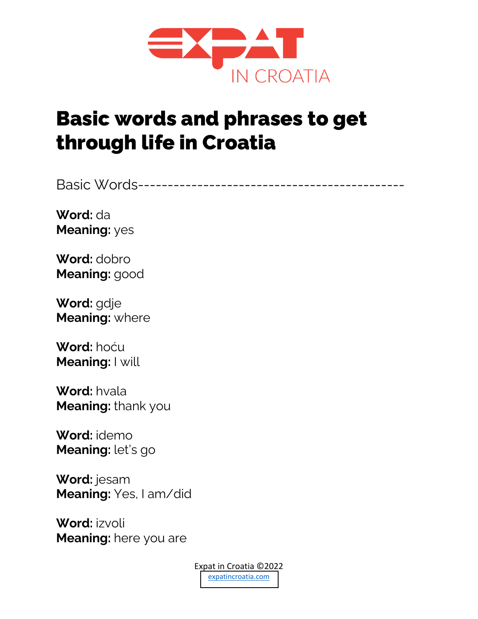

## Basic words and phrases to get through life in Croatia

Basic Words---------------------------------------------

**Word:** da **Meaning:** yes

**Word:** dobro **Meaning:** good

**Word:** gdje **Meaning:** where

**Word:** hoću **Meaning:** I will

**Word:** hvala **Meaning:** thank you

**Word:** idemo **Meaning:** let's go

**Word:** jesam **Meaning:** Yes, I am/did

**Word:** izvoli **Meaning:** here you are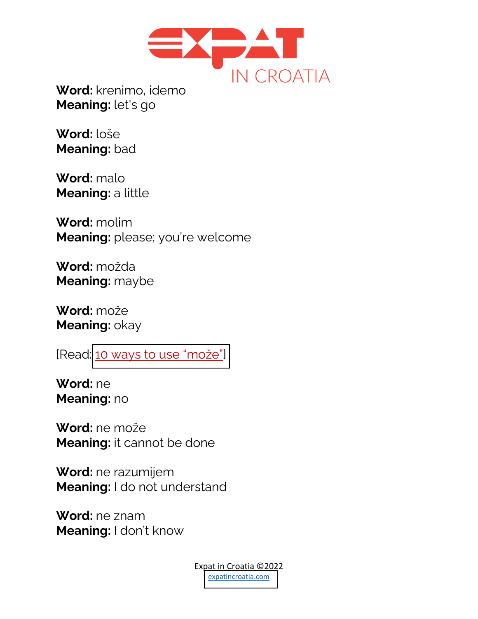

**Meaning:** let's go

**Word:** loše **Meaning:** bad

**Word:** malo **Meaning:** a little

**Word:** molim **Meaning:** please; you're welcome

**Word:** možda **Meaning:** maybe

**Word:** može **Meaning:** okay

[Read: [10 ways to use "mo](https://www.expatincroatia.com/10-ways-to-use-moze/)že"]

**Word:** ne **Meaning:** no

**Word:** ne može **Meaning:** it cannot be done

**Word:** ne razumijem **Meaning:** I do not understand

**Word:** ne znam **Meaning:** I don't know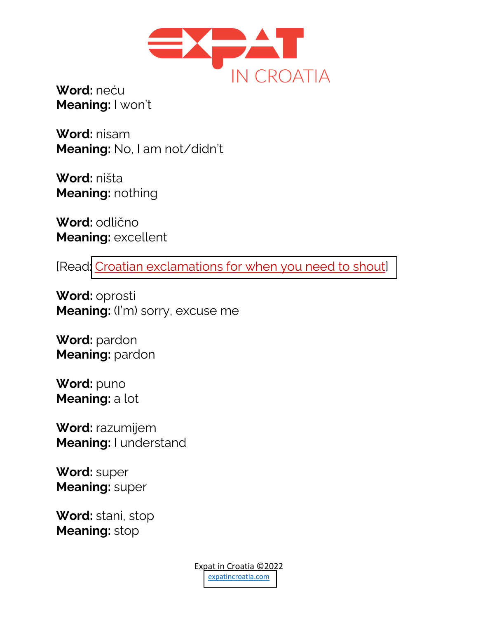

**Word:** neću **Meaning:** I won't

**Word:** nisam **Meaning:** No, I am not/didn't

**Word:** ništa **Meaning:** nothing

**Word:** odlično **Meaning:** excellent

[Read[: Croatian exclamations for when you need to shout\]](https://www.expatincroatia.com/croatian-exclamations/)

**Word:** oprosti **Meaning:** (I'm) sorry, excuse me

**Word:** pardon **Meaning:** pardon

**Word:** puno **Meaning:** a lot

**Word:** razumijem **Meaning:** I understand

**Word:** super **Meaning:** super

**Word:** stani, stop **Meaning:** stop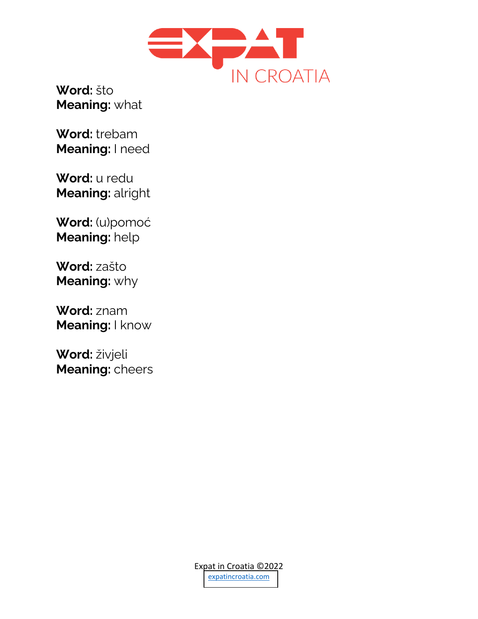

**Word:** što **Meaning:** what

**Word:** trebam **Meaning:** I need

**Word:** u redu **Meaning:** alright

**Word:** (u)pomoć **Meaning:** help

**Word:** zašto **Meaning:** why

**Word:** znam **Meaning:** I know

**Word:** živjeli **Meaning:** cheers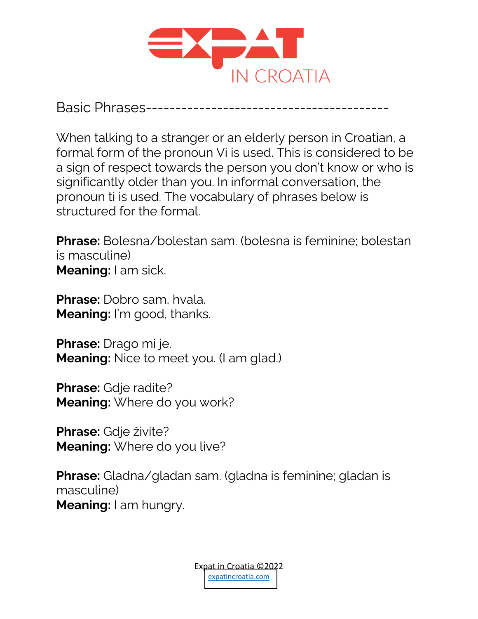

Basic Phrases------

When talking to a stranger or an elderly person in Croatian, a formal form of the pronoun Vi is used. This is considered to be a sign of respect towards the person you don't know or who is significantly older than you. In informal conversation, the pronoun ti is used. The vocabulary of phrases below is structured for the formal.

**Phrase:** Bolesna/bolestan sam. (bolesna is feminine; bolestan is masculine) **Meaning:** I am sick.

**Phrase:** Dobro sam, hvala. **Meaning:** I'm good, thanks.

**Phrase:** Drago mi je. **Meaning:** Nice to meet you. (I am glad.)

**Phrase:** Gdje radite? **Meaning:** Where do you work?

**Phrase:** Gdje živite? **Meaning:** Where do you live?

**Phrase:** Gladna/gladan sam. (gladna is feminine; gladan is masculine) **Meaning:** I am hungry.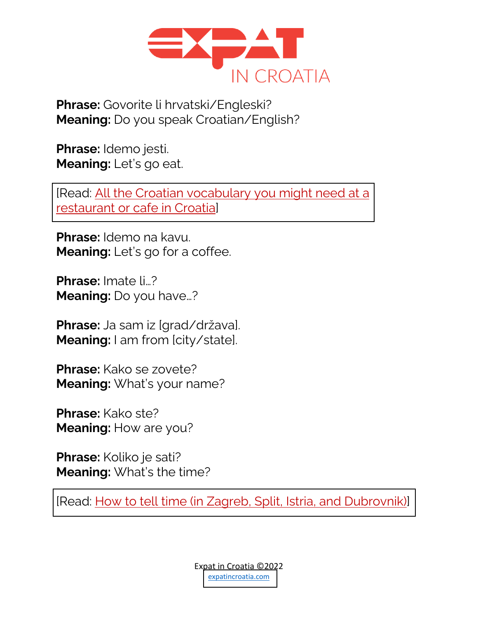

**Phrase:** Govorite li hrvatski/Engleski? **Meaning:** Do you speak Croatian/English?

**Phrase:** Idemo jesti. **Meaning:** Let's go eat.

[\[Read: All the Croatian vocabulary you might need at a](https://www.expatincroatia.com/croatian-restaurant-cafe/)  restaurant or cafe in Croatia]

**Phrase:** Idemo na kavu. **Meaning:** Let's go for a coffee.

**Phrase:** Imate li…? **Meaning:** Do you have…?

**Phrase:** Ja sam iz [grad/država]. **Meaning:** I am from [city/state].

**Phrase:** Kako se zovete? **Meaning:** What's your name?

**Phrase:** Kako ste? **Meaning: How are you?** 

**Phrase:** Koliko je sati? **Meaning:** What's the time?

[\[Read: How to tell time \(in Zagreb, Split, Istria, and Dubrovnik\)\]](https://www.expatincroatia.com/how-to-tell-time-zagreb-split-istria-dubrovnik/)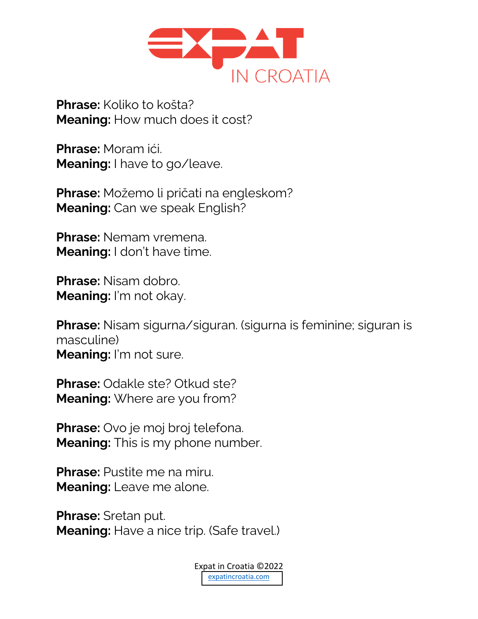

**Phrase:** Koliko to košta? **Meaning:** How much does it cost?

**Phrase:** Moram ići. **Meaning:** I have to go/leave.

**Phrase:** Možemo li pričati na engleskom? **Meaning:** Can we speak English?

**Phrase:** Nemam vremena. **Meaning:** I don't have time.

**Phrase:** Nisam dobro. **Meaning:** I'm not okay.

**Phrase:** Nisam sigurna/siguran. (sigurna is feminine; siguran is masculine) **Meaning:** I'm not sure.

**Phrase: Odakle ste? Otkud ste? Meaning:** Where are you from?

**Phrase:** Ovo je moj broj telefona. **Meaning:** This is my phone number.

**Phrase:** Pustite me na miru. **Meaning:** Leave me alone.

**Phrase:** Sretan put. **Meaning:** Have a nice trip. (Safe travel.)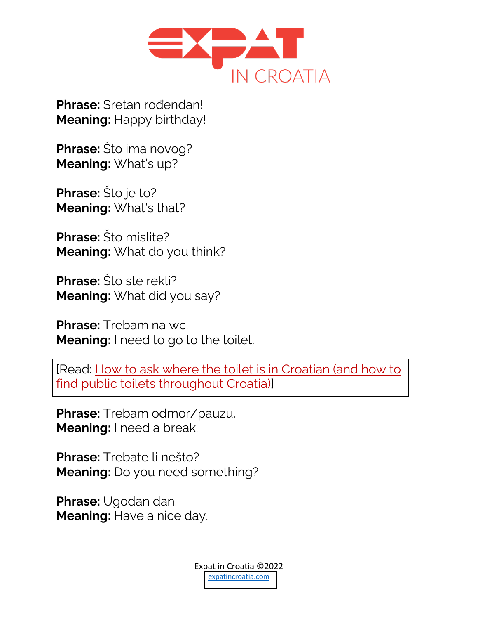

**Phrase:** Sretan rođendan! **Meaning:** Happy birthday!

**Phrase:** Što ima novog? **Meaning:** What's up?

**Phrase:** Što je to? **Meaning:** What's that?

**Phrase:** Što mislite? **Meaning:** What do you think?

**Phrase:** Što ste rekli? **Meaning:** What did you say?

**Phrase:** Trebam na wc. **Meaning:** I need to go to the toilet.

[Read: How to ask where the toilet is in Croatian (and how to find public toilets throughout Croatia)]

**Phrase:** Trebam odmor/pauzu. **Meaning:** I need a break.

**Phrase:** Trebate li nešto? **Meaning:** Do you need something?

**Phrase:** Ugodan dan. **Meaning:** Have a nice day.